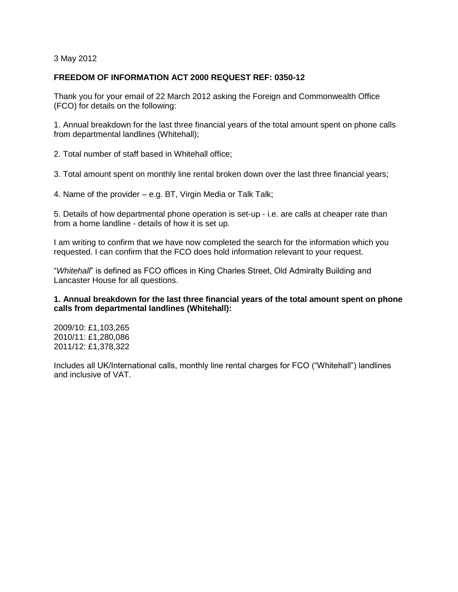3 May 2012

# **FREEDOM OF INFORMATION ACT 2000 REQUEST REF: 0350-12**

Thank you for your email of 22 March 2012 asking the Foreign and Commonwealth Office (FCO) for details on the following:

1. Annual breakdown for the last three financial years of the total amount spent on phone calls from departmental landlines (Whitehall);

2. Total number of staff based in Whitehall office;

3. Total amount spent on monthly line rental broken down over the last three financial years;

4. Name of the provider – e.g. BT, Virgin Media or Talk Talk;

5. Details of how departmental phone operation is set-up - i.e. are calls at cheaper rate than from a home landline - details of how it is set up.

I am writing to confirm that we have now completed the search for the information which you requested. I can confirm that the FCO does hold information relevant to your request.

"*Whitehall*" is defined as FCO offices in King Charles Street, Old Admiralty Building and Lancaster House for all questions.

### **1. Annual breakdown for the last three financial years of the total amount spent on phone calls from departmental landlines (Whitehall):**

2009/10: £1,103,265 2010/11: £1,280,086 2011/12: £1,378,322

Includes all UK/International calls, monthly line rental charges for FCO ("Whitehall") landlines and inclusive of VAT.